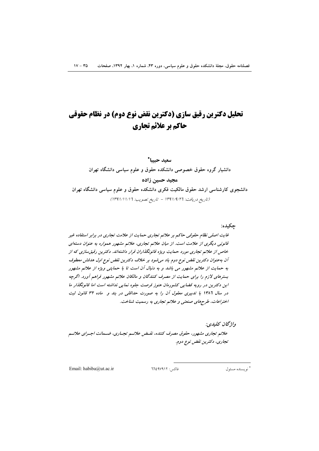# تحلیل دکترین رقیق سازی (دکترین نقض نوع دوم) در نظام حقوقی حاكم بر علائم تجاري

### سعيد حبيبا\* دانشیار گروه حقوق خصوصی دانشکده حقوق و علوم سیاسی دانشگاه تهران مجيد حسين زاده دانشجوی کارشناسی ارشد حقوق مالکیت فکری دانشکده حقوق و علوم سیاسی دانشگاه تهران (تاريخ دريافت: ١٣٩١/٩/٢٦ - تاريخ تصويب: ١٣٩١/١/١/١٣٩١)

چکيده:

غایت اصلی نظام حقوقی حاکم بر علائم تجاری حمایت از علامت تجاری در برابر استفاده غیر قانونی دیگری از علامت است. از میان علائم تجاری، علائم مشهور همواره به عنوان دستهای خاص از علائم تجاری مورد حمایت ویژه قانونگذاران قرار داشتهاند. دکترین رقیق سازی که از آن به عنوان دکترین نقض نوع دوم یاد می شود بر خلاف دکترین نقض نوع اول هدفش معطوف به حمایت از علائم مشهور می باشد و به دنبال آن است تا با حمایتی ویژه از علائم مشهور بسترهای لازم را برای حمایت از مصرف کنندگان و مالکان علائم مشهور فراهم آورد. اگرچه این دکترین در رویه قضایی کشورمان هنوز فرصت جلوه نمایی نداشته است اما قانونگذار ما در سال ۱۳۸۶ با تدبیری معقول آن را به صورت حداقلی در بند و ماده ۳۲ قانون ثبت اختراعات، طرحهای صنعتبی و علائم تجاری به رسمیت شناخت.

واژگان كليدي:

علائم تجاری مشهور، حقوق مصرف کننده، نقبض علائسم تجباری، ضبیمانت اجبرای علائسم تجاري، دکترين نقض نوع دوم.

Email: habiba@ut.ac.ir

فاكس: ٦٦٤٩٧٩١٢

\* نو يسنده مسئول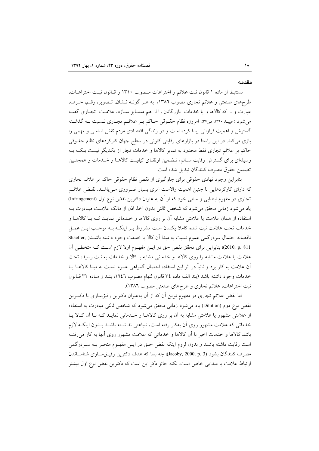#### مقدمه

مستنبط از ماده ١ قانون ثبت علائم و اختراعات مصوب ١٣١٠ و قـانون ثبـت اختراعـات، طرحهای صنعتی و علائم تجاری مصوب ١٣٨٦، به هـر گونـه نـشان، تـصوير، رقـم، حـرف، عبارت و ... که کالاها و یا خدمات بازرگانان را از هم متمـایز سـازد، علامـت تجـاری گفتـه می شود (حبیبا، ۱۳۹۰، ص۳۷). امروزه نظام حقـوقی حـاکم بـر علائـم تجـاری نـسبت بـه گذشـته گسترش و اهمیت فراوانی پیدا کرده است و در زندگی اقتصادی مردم نقش اساسی و مهمی را بازی میکند. در این راستا در بازارهای رقابتی کنونی در سطح جهان کارکردهای نظام حقــوقی حاکم بر علائم تجاری فقط محدود به تمایز کالاها و خدمات تجار از یکدیگر نیست بلکـه بـه وسیلهای برای گسترش رقابت سـالم، تـضمین ارتقـای کیفیـت کالاهـا و خـدمات و همچنـین تضمين حقوق مصرف كنندگان تبديل شده است.

بنابراین وجود نهادی حقوقی برای جلوگیری از نقض نظام حقوقی حاکم بر علائم تجاری که دارای کارکردهایی با چنین اهمیت والاست امری بسیار ضـروری مـیباشـد. نقـض علائـم تجاري در مفهوم ابتدايي و سنتي خود كه از آن به عنوان دكترين نقض نوع اول (Infringement) یاد می شود زمانی محقق می شود که شخص ثالثی بدون اخذ اذن از مالک علامت مبـادرت بــه استفاده از همان علامت یا علامتی مشابه آن بر روی کالاها و خـدماتی نمایـد کـه بـا کالاهـا و خدمات تحت علامت ثبت شده كاملا يكسان است مشروط بـر اينكـه بـه موجـب ايـن عمـل ناقضانه احتمال سردرگمی عموم نسبت به مبدا آن کالا یا خدمت وجود داشته باشـد( ,Shaeffer 2010, p. 811)؛ بنابراین برای تحقق نقض حق در ایـن مفهـوم اولا لازم اسـت کـه متخطـی أن علامت یا علامت مشابه را روی کالاها و خدماتی مشابه با کالا و خدمات به ثبت رسیده تحت آن علامت به کار برد و ثانیاً در اثر این استفاده احتمال گمراهی عموم نسبت به مبدا کالاهــا یــا خدمات وجود داشته باشد (بند الف ماده ٣٤ قانون لنهام مصوب ١٩٤٦، بنـد ز مـاده ٣٢ قـانون ثبت اختراعات، علائم تجاري و طرحهاي صنعتي مصوب ١٣٨٦).

اما نقض علائم تجاری در مفهوم نوین آن که از آن بهعنوان دکترین رقیقسازی یا دکتـرین نقض نوع دوم (Dilution) یاد می شود زمانی محقق می شود که شخص ثالثی مبادرت به استفاده از علامتی مشهور یا علامتی مشابه به آن بر روی کالاهـا و خـدماتی نمایـد کـه بـا آن کـالا یـا خدماتی که علامت مشهور روی اَن بهکار رفته است، شباهتی نداشـته باشـد بـدون اینکـه لازم باشد كالاها و خدمات اخير با آن كالاها و خدماتي كه علامت مشهور روى آنها به كار مى رفتـه است رقابت داشته باشند و بدون لزوم اینکه نقض حـق در ایــن مفهـوم منجـر بــه ســردرگمی مصرف كنندگان بشود (Jacoby, 2000, p. 3)؛ چه بسا كه هدف دكترين رقيــقســازي شناســاندن ارتباط علامت با مبدایی خاص است. نکته حائز ذکر این است که دکترین نقض نوع اول بیشتر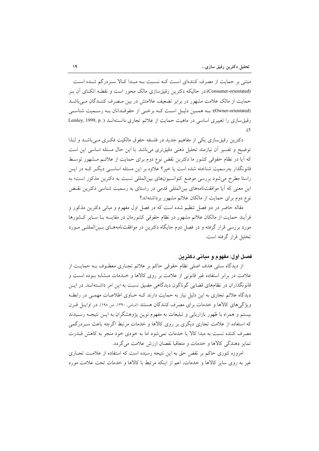مبتنی بر حمایت از مصرف کنندهای است کـه نـسبت بـه مبـدا کـالا سـردرگم شـده اسـت (Consumer-orientated) در حالیکه دکترین رقیق سازی مالک محور است و نقطـه اتکــای آن بــر حمایت از مالک علامت مشهور در برابر تضعیف علامتش در بین مـصرف کننـدگان مـ ٍباشـد (Owner-orientated)؛ بـه همـين دليـل اسـت كـه برخـي از حقوقـدانان بـه رسـميت شناسـي رقیق سازی را تغییری اساسی در ماهیت حمایت از علائم تجاری دانستهانـد ( .Lemley, 1999, p  $(5)$ 

دکترین رقیق سازی یکی از مفاهیم جدید در فلسفه حقوق مالکیت فکری مـیباشـد و لـذا توضيح و تفسير أن نيازمند تحليل ذهني دقيقترى مي باشد. با اين حال مسئله اساسي اين است که آیا در نظام حقوقی کشور ما دکترین نقض نوع دوم برای حمایت از علائـم مـشهور توسـط قانونگذار بهرسمیت شناخته شده است یا خیر؟ علاوه بر این مسئله اساسـی دیگـر کـه در ایـن راستا مطرح می شود بررسی موضع کنوانسیونهای بینالمللی نسبت به دکترین مذکور است؛ به این معنی که آیا موافقتنامههای بینالمللی قدمی در راستای به رسمیت شناسی دکترین نقـض نوع دوم برای حمایت از مالکان علائم مشهور برداشتهاند؟

مقاله حاضر در دو فصل تنظیم شده است که در فصل اول مفهوم و مبانی دکترین مذکور و فرآیند حمایت از مالکان علائم مشهور در نظام حقوقی کشورمان در مقایسه بـا سـایر کـشورها مورد بررسی قرار گرفته و در فصل دوم جایگاه دکترین در موافقتنامههـای بـینالمللـی مـورد تحليل قرار گرفته است.

#### فصل اول: مفهوم و مبانی دکتر بن

از دیدگاه سنتی هدف اصلی نظام حقوقی حاکم بر علائم تجـاری معطـوف بــه حمایــت از علامت در برابر استفاده غیر قانونی از علامت بر روی کالاها و خـدمات مـشابه بــوده اســت و قانونگذاران در نظامهای قضایی گوناگون دیدگاهی مضیق نسبت به این امر داشتهانـد. در ایـن دیدگاه علائم تجاری به این دلیل نیاز به حمایت دارند کـه حــاوی اطلاعــات مهمــی در رابطــه ویژگی های کالاها و خدمات برای مصرف کنندگان هستند (اسامی، ۱۳۹۰، ص ۱۹۸). در اوایس قبرن بیستم و همراه با ظهور بازاریابی و تبلیغات به مفهوم نوین پژوهشگران به ایـن نتیجـه رسـیدند که استفاده از علامت تجاری دیگری بر روی کالاها و خدمات مرتبط اگرچه باعث سـردرگمی مصرف کننده نسبت به مبدا کالا یا خدمات نمی شود اما به خودی خود منجر به کاهش قــدرت تمايز دهندگي كالاها و خدمات و متعاقبا نقصان ارزش علامت مي گردد.

امروزه تئوری حاکم بر نقض حق به این نتیجه رسیده است که استفاده از علامت تجـاری غیر به روی سایر کالاها و خدمات، اعم از اینکه مرتبط با کالاها و خدمات تحت علامت مورد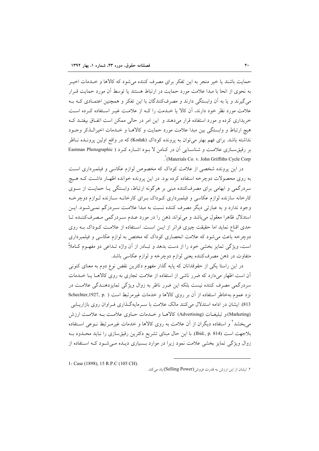حمایت باشند یا خیر منجر به این تفکر برای مصرف کننده می شود که کالاها و خـلـمات اخیــر به نحوی از انحا با مبدا علامت مورد حمایت در ارتباط هستند یا توسط آن مورد حمایت قـرار می گیرند و یا به آن وابستگی دارند و مصرفکنندگان با این تفکر و همچنین اعتمـادی کـه بـه علامت مورد نظر خود دارند، آن کالا یا خـدمت را کـه از علامـت غیـر اسـتفاده کـرده اسـت خریداری کرده و مورد استفاده قرار می دهند و این امر در حالی ممکن است اتفاق بیفتـد کـه هيچ ارتباط و وابستگي بين مبدا علامت مورد حمايت و كالاهـا و خـدمات اخيرالـذكر وجـود نداشته باشد. برای فهم بهتر می توان به پرونده کوداک (Kodak) که در واقع اولین پرونـده نـاظر بر رقیق سازی علامت و شناسایی آن در کیامن لا بود اشباره کرد ( Eastman Photographic Materials Co. v. John Griffiths Cycle Corp

در این پرونده شخصی از علامت کوداک که مخصوص لوازم عکاسی و فیلمبرداری است به روی محصولات دوچرخه استفاده کرده بود. در این پرونده خوانده اظهـار داشـت کـه هـیچ سردرگمی و ابهامی برای مصرفکننده مبنی بر هرگونه ارتباط، وابستگی یـا حمایـت از سـوی کارخانه سازنده لوازم عکاسی و فیلمبرداری کـوداک بـرای کارخانــه ســازنده لــوازم دوچرخــه وجود ندارد و به عبارتی دیگر مصرف کننده نسبت به مبدا علامت سـردرگم نمـیشـود. ایـن استدلال ظاهرا معقول مى باشد و مى تواند ذهن را در مورد عـدم سـردرگمى مـصرف كننـده تـا حدی اقناع نماید اما حقیقت چیزی فراتر از ایـن اسـت. اسـتفاده از علامـت کـوداک بـه روی دوچرخه باعث میشود که علامت انحصاری کوداک که مختص به لوازم عکاسی و فیلمبرداری است، ویژگی تمایز بخشی خود را از دست بدهد و تبـادر از آن واژه تــداعی دو مفهــوم کــاملاً متفاوت در ذهن مصرف كننده يعني لوازم دوچرخه و لوازم عكاسي باشد.

در این راستا یکی از حقوقدانان که پایه گذار مفهوم دکترین نقض نوع دوم به معنای کنونی آن است اظهار میدارد که ضرر ناشی از استفاده از علامت تجاری به روی کالاهـا یـا خــدمات سردرگمی مصرف کننده نیست بلکه این ضرر ناظر به زوال ویژگی تمایزدهنـدگی علامـت در نزد عموم به خاطر استفاده از آن بر روی کالاها و خدمات غیرمرتبط است ( .Schechter,1927, p 813). ایشان در ادامه استدلال می کنند مالک علامت با سـرمایهگـذاری فـراوان روی بازاریــابی (Marketing) و تبلیغـات (Advertising) کالاهـا و خــدمات حــاوی علامـت بــه علامــت ارزش می بخشد ٔ و استفاده دیگران از آن علامت به روی کالاها و خدمات غیرمـرتبط نــوعی اســتفاده بلاجهت است (Ibid., p. 814). با این حال مبنای تشریع دکترین رقیق سازی را نباید محدود بـه زوال ویژگی تمایز بخشی علامت نمود زیرا در موارد بـسیاری دیـده مـی شـود کـه اسـتفاده از

1- Case (1898), 15 R.P.C (105 CH).

۲. ایشان از این ارزش به قدرت فروش(Selling Power) یاد میکند.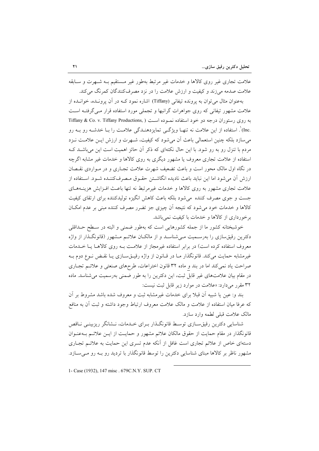علامت تجاری غیر روی کالاها و خدمات غیر مرتبط بهطور غیر مستقیم بـه شـهرت و سـابقه علامت صدمه مي زند و كيفيت و ارزش علامت را در نزد مصرف كنندگان كمرنگ مي كند.

بهعنوان مثال می توان به پرونده تیفانی (Tiffany) اشاره نمود کـه در آن پرونـده، خوانـده از علامت مشهور تیفانی که روی جواهرات گرانبها و تجملی مورد استفاده قرار مـی گرفتـه اسـت به روی رستوران درجه دو خود استفاده نمـوده است ( Tiffany & Co. v. Tiffany Productions, .Inc)`. استفاده از این علامت نه تنهـا ویژگــی تمایزدهنــدگی علامــت را بــا خدشــه رو بــه رو می سازد بلکه چنین استعمالی باعث آن می شود که کیفیت، شبهرت و ارزش ایــن علامـت نــزد مردم با تنزل رو به رو شود. با این حال نکتهای که ذکر آن حائز اهمیت است این می باشــد کــه استفاده از علامت تجاری معروف یا مشهور دیگری به روی کالاها و خدمات غیر مشابه اگرچه در نگاه اول مالک محور است و باعث تضعیف شهرت علامت تجـاری و در مـواردی نقـصان ارزش آن می شود اما این نباید باعث نادیده انگاشـتن حقـوق مـصرفکننـده شـود. اسـتفاده از علامت تجاری مشهور به روی کالاها و خدمات غیرمرتبط نه تنها باعث افـزایش هزینــههـای جست و جوی مصرف کننده می شود بلکه باعث کاهش انگیزه تولیدکننده برای ارتقای کیفیت کالاها و خدمات خود می شود که نتیجه اَن چیزی جز تضرر مصرف کننده مبنی بر عدم امکـان برخورداری از کالاها و خدمات با کیفیت نمی باشد.

خوشبختانه کشور ما از جمله کشورهایی است که بهطور ضمنی و البته در سـطح حــداقلی دکترین رقیق سازی را بهرسـمیت مـیشناسـد و از مالکـان علائـم مـشهور (قانونگـذار از واژه معروف استفاده کرده است) در برابر استفاده غیرمجاز از علامت بـه روی کالاهـا یـا خــدمات غیرمشابه حمایت می کند. قانونگذار مـا در قـانون از واژه رقیــقســازی یــا نقــض نــوع دوم بــه صراحت یاد نمیکند اما در بند و ماده ۳۲ قانون اختراعات، طرحهای صنعتی و علائـم تجـاری در مقام بیان علامتهای غیر قابل ثبت، این دکترین را به طور ضمنی بهرسمیت می شناسد. ماده ۳۲ مقرر می دارد: «علامت در موارد زیر قابل ثبت نیست:

بند و: عین یا شبیه اَن قبلاً برای خدمات غیرمشابه ثبت و معروف شده باشد مشروط بر اَن که عرفا میان استفاده از علامت و مالک علامت معروف ارتباط وجود داشته و ثبت آن به منافع مالک علامت قبلی لطمه وارد سازد.

شناسایی دکترین رقیق سـازی توسـط قانونگـذار بـرای خـدمات، نـشانگر ریزبینـی نــاقص قانونگذار در مقام حمایت از حقوق مالکان علائم مشهور و حمایـت از ایـن علائـم بـهعنـوان دستهای خاص از علائم تجاری است غافل از آنکه عدم تسری این حمایت به علائـم تجـاری مشهور ناظر بر کالاها مبنای شناسایی دکترین را توسط قانونگذار با تردید رو بـه رو مـیسـازد.

1- Case (1932), 147 misc. 679C.N.Y. SUP. CT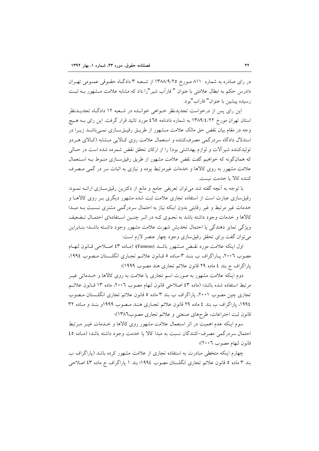در رای صادره به شماره ۸۱۱ مورخ ۱۳۸۸/۹/۲۵ از شعبه ۳ دادگاه حقـوقی عمـومی تهـران دادرس حکم به ابطال علامتی با عنوان " فاراَب شیر "را داد که مشابه علامت مـشهور بــه ثبـت رسيده پيشين با عنوان" فاراب"بو د.

این رای پس از درخواست تجدیدنظر خـواهی خوانـده در شـعبه ۱۲ دادگـاه تجدیــدنظر استان تهران مورخ ۱۳۸۹/٤/۲۲ به شماره دادنامه ٤٦٥ مورد تائيد قرار گرفت. اين راي بـه هـيچ وجه در مقام بیان نقض حق مالک علامت مشهور از طریــق رقیــقســازی نمــیباشــد زیــرا در استدلال دادگاه سردرگمی مصرفکننده و استعمال علامت روی کـالایی مـشابه (کـالای هـردو توليدكننده شير آلات و لوازم بهداشتي بود) را از اركان تحقق نقض شمرده شده است در حـالي که همانگونه که خواهیم گفت نقض علامت مشهور از طریق رقیقسـازی منـوط بـه اسـتعمال علامت مشهور به روی کالاها و خدمات غیرمرتبط بوده و نیازی به اثبات سر در گمی مصرف كننده كالا يا خدمت نيست.

با توجه به أنچه گفته شد میٍتوان تعریفی جامع و مانع از دکترین رقیقســازی ارائــه نمــود: رقیق سازی عبارت است از استفاده تجاری علامت ثبت شده مشهور دیگری بـر روی کالاهــا و خدمات غیر مرتبط و غیر رقابتی بدون اینکه نیاز به احتمال سردرگمی مشتری نسبت بـه مبـدا كالاها و خدمات وجود داشته باشد به نحـوى كـه در اثـر چنـين اسـتفادهاى احتمـال تـضعيف ويژگي تمايز دهندگي يا احتمال تخديش شهرت علامت مشهور وجود داشته باشـد؛ بنـابراين مي توان گفت براي تحقق رقيقسازي وجود چهار عنصر لازم است:

اول اينكه علامت مورد نقبض مــشهور باشــد (Famous)؛ (مـاده ٤٣ اصــلاحـي قــانون لنهــام مصوب ٢٠٠٦، يـاراگراف ب بنـد ٣ مـاده ٥ قـانون علائـم تجـاري انگلـستان مـصوب ١٩٩٤، پاراگراف ج بند ٤ ماده ٢٩ قانون علائم تجاري هند مصوب ١٩٩٩)؛

دوم اینکه علامت مشهور به صورت اسم تجاری یا علامت به روی کالاها و خــدماتی غیــر مرتبط استفاده شده باشد؛ (ماده ٤٣ اصلاحی قانون لنهام مصوب ٢٠٠٦، ماده ١٣ قـانون علائـم تجاری چین مصوب ۲۰۰۱، پاراگراف ب بند ۳ ماده ۵ قانون علائم تجاری انگلـستان مـصوب ١٩٩٤، پاراگراف ب بند ٤ ماده ٢٩ قانون علائم تجـاري هنـد مـصوب ١٩٩٩و بنـد و مـاده ٣٢ قانون ثبت اختراعات، طرحهاي صنعتي و علائم تجاري مصوب١٣٨٦)؛

سوم اینکه عدم اهمیت در اثر استعمال علامت مشهور روی کالاها و خـدمات غیـر مـرتبط احتمال سردرگمی مصرف-کنندگان نسبت به مبدا کالا یا خدمت وجود داشته باشد؛ (مـاده ٤٥ قانون لنهام مصوب ٢٠٠٦)؛

چهارم اینکه متخطی مبادرت به استفاده تجاری از علامت مشهور کرده باشد (پاراگراف ب بند ۳ ماده ٥ قانون علائم تجاري انگلستان مصوب ١٩٩٤؛ بند ١ پاراگراف ج ماده ٤٣ اصلاحي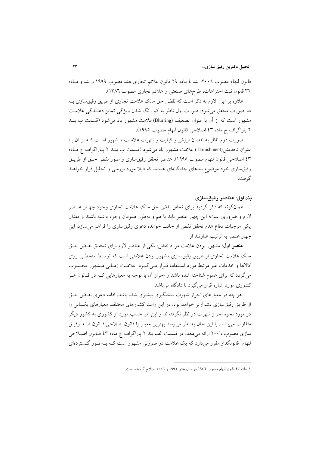قانون لنهام مصوب ٢٠٠٦؛ بند ٤ ماده ٢٩ قانون علائم تجاري هند مصوب ١٩٩٩ و بند و مـاده ٣٢ قانون ثبت اختراعات، طرحهاي صنعتي و علائم تجاري مصوب ١٣٨٦).

علاوه بر این لازم به ذکر است که نقض حق مالک علامت تجاری از طریق رقیق سازی بــه دو صورت محقق میشود: صورت اول ناظر به کم رنگ شدن ویژگی تمایز دهنـدگی علامـت مشهور است که از آن با عنوان تضعیف (Blurring)علامت مشهور یاد میشود (قسمت ب بنـد ۲ پاراگراف ج ماده ٤٣ اصلاحی قانون لنهام مصوب ١٩٩٥).

صورت دوم ناظر به نقصان ارزش و کیفیت و شهرت علامت مــشهور اسـت کـه از آن بــا عنوان تخديش(Tarnishment) علامت مشهور ياد مي شود (قسمت ب بنـد ٢ يـاراگراف ج مـاده ٤٣ اصلاحی قانون لنهام مصوب ١٩٩٥). عناصر تحقق رقیقسازی و صور نقض حـق از طریــق رقیق سازی خود موضوع بندهای جداگانهای هستند که ذیلا مورد بررسی و تحلیل قرار خواهند گر فت.

#### يند اول: عناصر رقبق سازي

همانگونه که ذکر گردید برای تحقق نقض حق مالک علامت تجاری وجود چهـار عنـصر لازم و ضروری است؛ این چهار عنصر باید با هم و بهطور همزمان وجود داشته باشند و فقدان یکی موجبات دفاع عدم تحقق نقض از جانب خوانده دعوی رقیق سازی را فراهم می سازد. این چهار عنصر به ترتیب عبارتند از:

عنصر اول؛ مشهور بودن علامت مورد نقض: یکی از عناصر لازم برای تحقـق نقـض حـق مالک علامت تجاری از طریق رقیق سازی مشهور بودن علامتی است که توسط متخطبی روی كالاها و خدمات غير مرتبط مورد استفاده قـرار مـي گيـرد. علامـت زمـاني مـشهور محـسوب می گردد که برای عموم شناخته شده باشد و احراز آن با توجه به معیارهایی کـه در قـانون هـر کشوری مورد اشاره قرار می گیرد با دادگاه میباشد.

هر چه در معیارهای احراز شهرت سختگیری بیشتری شده باشد، اقامه دعوی نقـض حـق از طریق رقیق سازی دشوارتر خواهد بود. در این راستا کشورهای مختلف معیارهای یکسانی را در مورد نحوه احراز شهرت در نظر نگرفتهاند و این امر حسب مورد از کشوری به کشور دیگر متفاوت می باشد. با این حال به نظر می رسد بهترین معیار را قانون اصلاحی قـانون ضـد رقیـق سازی مصوب ٢٠٠٦ ارائه میدهد. در قسمت الف بند ٢ پاراگراف ج ماده ٤٣ قـانون اصـلاحی لنهام` قانونگذار مقرر میٖدارد که یک علامت در صورتی مشهور است کـه بـهطـور گــستردهای

١. ماده ٤٣ قانون لنهام مصوب ١٩٤٦ در سال هاي ١٩٩٥ و ٢٠٠٦ اصلاح گرديده است.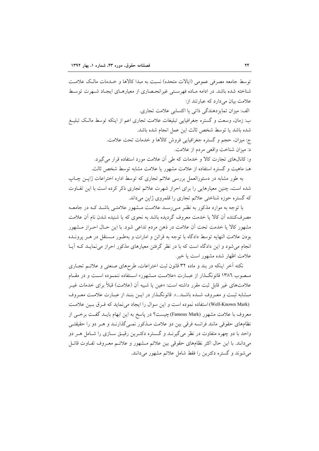توسط جامعه مصرفي عمومي (ايالات متحده) نسبت به مبدا كالاها و خـدمات مالـك علامـت شناخته شده باشد. در ادامه مباده فهرستی غیرانحصاری از معیارهبای ایجباد شبهرت توسط علامت بيان مي دارد كه عبارتند از: الف: میزان تمایزدهندگی ذاتی یا اکتسابی علامت تجاری. ب: زمان، وسعت و گستره جغرافیایی تبلیغات علامت تجاری اعم از اینکه توسط مالـک تبلیــغ شده باشد يا توسط شخص ثالث اين عمل انجام شده باشد. ج: میزان، حجم و گستره جغرافیایی فروش کالاها و خدمات تحت علامت. د: ميزان شناخت واقعي مردم از علامت. و: كانالهاى تجارت كالا و خدمات كه طى أن علامت مورد استفاده قرار مى گيرد. هــ: ماهيت و گستره استفاده از علامت مشهور يا علامت مشابه توسط شخص ثالث.

به طور مشابه در دستورالعمل بررسی علائم تجاری که توسط اداره اختراعات ژاپــن چــاپ شده است، چنین معیارهایی را برای احراز شهرت علائم تجاری ذکر کرده است با این تفـاوت که گستره حوزه شناختی علائم تجاری را قلمروی ژاپن میداند.

با توجه به موارد مذکور به نظـر مـی(سـد علامـت مـشهور علامتـی باشـد کـه در جامعـه مصرفکننده آن کالا یا خدمت معروف گردیده باشد به نحوی که با شنیده شدن نام آن علامت مشهور کالا یا خدمت تحت اّن علامت در ذهن مردم تداعی شود. با این حـال احـراز مـشهور بودن علامت النهايه توسط دادگاه با توجه به قرائن و امارات و بهطـور مـستقل در هـر پرونــده انجام می شود و این دادگاه است که با در نظر گرفتن معیارهای مذکور احراز می نمایـد کـه آیـا علامت اظهار شده مشهور است یا خیر.

نکته آخر اینکه در بند و ماده ۳۲ قانون ثبت اختراعات، طرحهای صنعتی و علائـم تجـاری مـصوب ١٣٨٦ قانونگـذار از عبــارت «علامــت مــشهور» اســتفاده ننمــوده اســت و در مقــام علامتهای غیر قابل ثبت مقرر داشته است: «عین یا شبیه آن (علامت) قبلاً برای خدمات غیــر مـشابه ثبـت و معـروف شـده باشـد...». قانونگـذار در ايـن بنـد از عبـارت علامـت معـروف (Well-Known Mark)استفاده نموده است و این سوال را ایجاد می نماید که فرق بین علامت معروف با علامت مشهور (Famous Mark)چیست؟ در یاسخ به این ابهام بایـد گفـت برخـی از نظامهای حقوقی مانند فرانسه فرقی بین دو علامت مـذکور نمـی گذارنـد و هـر دو را حقیقتـی واحد با دو چهره متفاوت در نظر می گیرنــد و گــستره دکتــرین رقیــق ســازی را شــامل هــر دو میدانند. با این حال اکثر نظامهای حقوقی بین علائم مشهور و علائـم معـروف تفـاوت قائـل می شوند و گستره دکترین را فقط شامل علائم مشهور می دانند.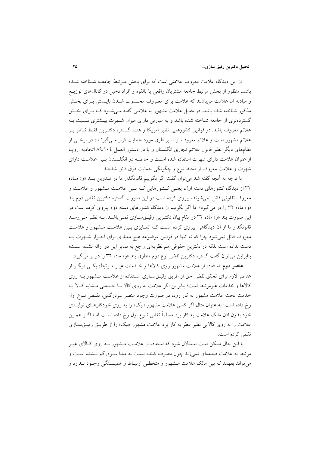از این دیدگاه علامت معروف علامتی است که برای بخش مـرتبط جامعـه شـناخته شـده باشد. منظور از بخش مرتبط جامعه مشتريان واقعي يا بالقوه و افراد دخيل در كانال@اي توزيــع و مبادله أن علامت مي باشند كه علامت براي معـروف محـسوب شــدن بايــستى بــراي بخــش مذکور شناخته شده باشد. در مقابل علامت مشهور به علامتی گفته مـی شـود کـه بـرای بخــش گستردهتری از جامعه شناخته شده باشد و به عبارتی دارای میزان شـهرت بیــشتری نــسبت بــه علائم معروف باشد. در قوانین کشورهایی نظیر آمریکا و هنـد گـستره دکتـرین فقـط نــاظر بـر علائم مشهور است و علائم معروف از سایر طرق مورد حمایت قرار مـیگیرنـد؛ در برخـی از نظامهای دیگر نظیر قانون علائم تجاری انگلستان و یا در دستور العمل ٨٩/١٠٤ اتحادیه اروپا از عنوان علامت دارای شهرت استفاده شده اسـت و خاصـه در انگلــستان بــین علامـت دارای شهرت و علامت معروف از لحاظ نوع و چگونگی حمایت فرق قائل شدهاند.

با توجه به أنچه گفته شد می توان گفت اگر بگوییم قانونگذار ما در تـدوین بنـد «و» مـاده ۳۲ از دیدگاه کشورهای دسته اول، یعنـی کـشورهایی کـه بـین علامـت مـشهور و علامـت و معروف تفاوتی قائل نمیشوند، پیروی کرده است در این صورت گستره دکترین نقض دوم بند «و» ماده ۳۲ را در میگیرد؛ اما اگر بگوییم از دیدگاه کشورهای دسته دوم پیروی کرده است در این صورت بند «و» ماده ۳۲ در مقام بیان دکتـرین رقیـقسـازی نمـیباشـد. بـه نظـر مـیرسـد قانونگذار ما از آن دیدگاهی پیروی کرده است کـه تمـایزی بـین علامـت مـشهور و علامـت معروف قائل نمی شود چرا که نه تنها در قوانین موضوعه هیچ معیاری برای احــراز شــهرت بــه دست نداده است بلکه در دکترین حقوقی هم نظریهای راجع به تمایز این دو ارائه نشده است؛ بنابراین می توان گفت گستره دکترین نقض نوع دوم منطوق بند «و» ماده ۳۲ را در بر میگیرد.

**عنصر دوم**: استفاده از علامت مشهور روی کالاها و خــدمات غیــر مــرتبط: یکــی دیگــر از عناصر لازم برای تحقق نقض حق از طریق رقیــقســازی اسـتفاده از علامـت مــشهور بــه روی كالاها و خدمات غيرمرتبط است؛ بنابراين اگر علامت به روى كالا يـا خــدمتى مـشابه كـالا يـا خدمت تحت علامت مشهور به کار رود، در صورت وجود عنصر سردرگمی، نقـض نـوع اول رخ داده است؛ به عنوان مثال اگر کسی علامت مشهور «بیک» را به روی خودکارهای تولیـدی خود بدون اذن مالک علامت به کار برد مسلماً نقض نــوع اول رخ داده اســت امــا اگــر همــين علامت را به روی کالایی نظیر عطر به کار برد علامت مشهور «بیک» را از طریـق رقیـقسـازی نقض کرده است.

با این حال ممکن است استدلال شود که استفاده از علامت مــشهور بــه روی کــالای غیــر مرتبط به علامت صدمهای نمیزند چون مصرف کننده نسبت به مبدا سـردرگم نـشده اسـت و می تواند بفهمد که بین مالک علامت مــشهور و متخطــی ارتبــاط و همبــستگی وجــود نــدارد و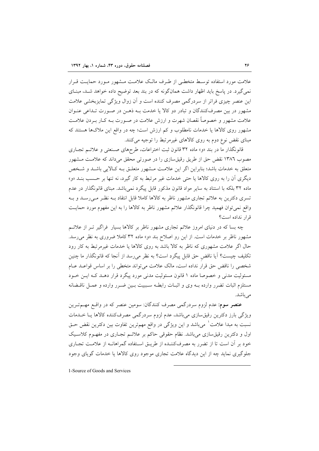علامت مورد استفاده توسط متخطبي از طرف مالک علامت مشهور مـورد حمايـت قـرار نمی گیرد. در پاسخ باید اظهار داشت همانگونه که در بند بعد توضیح داده خواهد شـد، مبنــای این عنصر چیزی فراتر از سردرگمی مصرف کننده است و آن زوال ویژگی تمایزبخشی علامت مشهور در بین مصرفکنندگان و تبادر دو کالا یا خدمت بـه ذهـن در صـورت تـداعی عنـوان علامت مشهور و خصوصاً نقصان شهرت و ارزش علامت در صـورت بــه کــار بــردن علامــت مشهور روی کالاها یا خدمات نامطلوب و کم ارزش است؛ چه در واقع این ملاکها هستند که مبنای نقض نوع دوم به روی کالاهای غیرمرتبط را توجیه می کنند.

قانونگذار ما در بند «و» ماده ۳۲ قانون ثبت اختراعات، طرحهای صـنعتی و علائـم تجـاری مصوب ۱۳۸٦ نقض حق از طریق رقیق سازی را در صورتی محقق میداند که علامت مشهور متعلق به خدمات باشد؛ بنابراین اگر این علامت مشهور متعلـق بـه کـالایی باشـد و شـخص دیگری آن را به روی کالاها یا حتی خدمات غیر مرتبط به کار گیرد، نه تنها بر حـسب بنــد «و» ماده ۳۲ بلکه با استناد به سایر مواد قانون مذکور قابل پیگرد نمیباشد. مبنای قانونگذار در عدم تسری دکترین به علائم تجاری مشهور ناظر به کالاها کاملا قابل انتقاد بـه نظـر مـی(سـد و بـه واقع نمی توان فهمید چرا قانونگذار علائم مشهور ناظر به کالاها را به این مفهوم مورد حمایت قرار نداده است؟

چه بسا که در دنیای امروز علائم تجاری مشهور ناظر بر کالاها بسیار ًفراگیر تــر از علائــم مشهور ناظر بر خدمات است. از این رو اصلاح بند «و» ماده ۳۲ کاملا ضروری به نظر می رسد. حال اگر علامت مشهوری که ناظر به کالا باشد به روی کالاها یا خدمات غیرمرتبط به کار رود تكليف چيست؟ آيا ناقض حق قابل پيگرد است؟ به نظر مي رسد از آنجا كه قانونگذار ما چنين شخصی را ناقض حق قرار نداده است، مالک علامت میتواند متخطی را بر اساس قواعـد عـام مسئولیت مدنی و خصوصا ماده ۱ قانون مسئولیت مدنی مورد پیگرد قرار دهـد کـه ایــن خــود مستلزم اثبات تضرر وارده بــه وى و اثبــات رابطــه سـببيت بــين ضــرر وارده و عمــل ناقــضانه می باشد.

**عنصر سوم**: عدم لزوم سردرگمی مصرف کنندگان: سومین عنصر که در واقــع مهــمتــرین ویژگی بارز دکترین رقیق سازی میباشد، عدم لزوم سردرگمی مصرفکننده کالاها یـا خــدمات نسبت به مبدا علامت ْ ميباشد و اين ويژگي در واقع مهمترين تفاوت بين دكترين نقض حـق اول و دکترین رقیق سازی می باشد. نظام حقوقی حاکم بر علائـم تجـاری در مفهـوم کلاسـیک خود بر آن است تا از تضرر به مصرفکننـده از طریـق اسـتفاده گمراهانـه از علامـت تجـاری جلوگیری نماید چه از این دیدگاه علامت تجاری موجود روی کالاها یا خدمات گویای وجود

1-Source of Goods and Services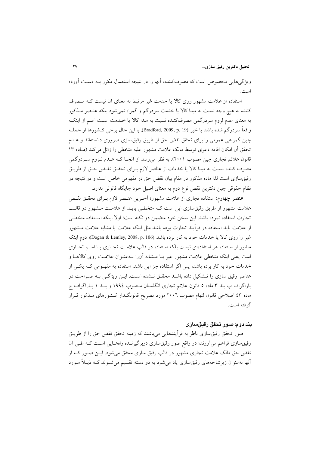ویژگی هایی مخصوص است که مصرفکننده، آنها را در نتیجه استعمال مکرر بــه دسـت آورده است.

استفاده از علامت مشهور روی کالا یا خدمت غیر مرتبط به معنای آن نیست کـه مـصرف کننده به هیچ وجه نسبت به مبدا کالا یا خدمت سردرگم و گمراه نمیشود بلکه عنـصر مــذکور به معنای عدم لزوم سردرگمی مصرفکننده نسبت به مبدا کالا یا خـدمت اسـت اعـم از اینکـه واقعاً سردرگم شده باشد یا خیر (Bradford, 2009, p. 19). با این حال برخی کــشورها از جملــه چین گمراهی عمومی را برای تحقق نقض حق از طریق رقیقسازی ضروری دانستهاند و عـدم تحقق أن امكان اقامه دعوى توسط مالك علامت مشهور عليه متخطى را زائل مى كند (مـاده ١٣ قانون علائم تجاری چین مصوب ۲۰۰۱). به نظر میرسد از آنجـا کــه عــدم لــزوم ســردرگمی مصرف كننده نسبت به مبدا كالا يا خدمات از عناصر لازم بـراي تحقـق نقـض حـق از طريـق رقیق سازی است لذا ماده مذکور در مقام بیان نقض حق در مفهومی خاص است و در نتیجه در نظام حقوقی چین دکترین نقض نوع دوم به معنای اصیل خود جایگاه قانونی ندارد.

عنصر چهارم: استفاده تجاري از علامت مشهور؛ آخرين عنـصر لازم بـراي تحقـق نقـض علامت مشهور از طریق رقیق سازی این است کـه متخطـی بایـد از علامـت مـشهور در قالـب تجارت استفاده نموده باشد. این سخن خود متضمن دو نکته است؛ اولا اینکه استفاده متخطبی از علامت باید استفاده در فرأیند تجارت بوده باشد مثل اینکه علامت یا مشابه علامت مـشهور غير را روى كالا يا خدمات خود به كار برده باشد (Dogan & Lemley, 2008, p. 106)؛ دوم اينكه منظور از استفاده هر استفادهای نیست بلکه استفاده در قالب علامت تجباری یبا استم تجباری است یعنی اینکه متخطی علامت مشهور غیر یـا مــشابه آن(ا بــهعنـوان علامــت روی کالاهــا و خدمات خود به کار برده باشد؛ پس اگر استفاده جز این باشد، استفاده به مفهـومی کـه یکـی از عناصر رقیق سازی را تـشکیل داده باشـد محقـق نـشده اسـت. ایـن ویژگـی بـه صـراحت در پاراگراف ب بند ۳ ماده ۵ قانون علائم تجاری انگلستان مـصوب ۱۹۹٤ و بنـد ۱ پـاراگراف ج ماده ٤٣ اصلاحي قانون لنهام مصوب ٢٠٠٦ مورد تصريح قانونگذار كـشورهاي مـذكور قـرار گر فته است.

#### بند دوم: صور تحقق رقیقسازی

صور تحقق رقیقسازی ناظر به فراًیندهایی میباشند که زمینه تحقق نقض حق را از طریــق رقیق سازی فراهم می آورند؛ در واقع صور رقیق سازی دربرگیرنـده راههـایی اسـت کـه طـی آن نقض حق مالک علامت تجاری مشهور در قالب رقیق سازی محقق می شود. ایــن صــور کــه از آنها بهعنوان زیرشاخههای رقیقسازی یاد میشود به دو دسته تقسیم میشـوند کـه ذیـلاً مـورد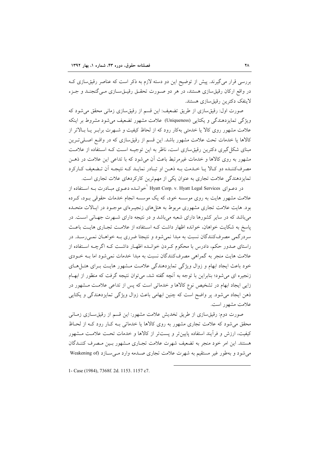بررسی قرار می گیرند. پیش از توضیح این دو دسته لازم به ذکر است که عناصر رقیق سازی ک در واقع ارکان رقیق سازی هستند، در هر دو صورت تحقـق رقیـقسـازی مـی گنجنـد و جـزء لاينفک دکترين رقيق سازي هستند.

صورت اول: رقیقسازی از طریق تضعیف: این قسم از رقیقسازی زمانی محقق می شود که ویژگی تمایزدهندگی و یکتایی (Uniqueness) علامت مشهور تضعیف می شود مشروط بر اینکه علامت مشهور روی کالا یا خدمتی بهکار رود که از لحاظ کیفیت و شـهرت برابـر یـا بـالاتر از کالاها یا خدمات تحت علامت مشهور باشد. این قسم از رقیقسازی که در واقع اصـلیتـرین مبنای شکل گیری دکترین رقیق سازی است، ناظر به این توجیـه اسـت کـه اسـتفاده از علامـت مشهور به روی کالاها و خدمات غیرمرتبط باعث آن می شود که با تداعی این علامت در ذهــن مصرف کننـده دو کـالا يـا خـدمت بـه ذهـن او تبـادر نمايـد کـه نتيجـه اَن تـضعيف کـارکرد تمایزدهندگی علامت تجاری به عنوان یکی از مهمترین کارکردهای علات تجاری است.

در دعــوای Hyatt Corp. v. Hyatt Legal Services <sup>'</sup>خوانــده دعــوی مبــادرت بــه اســتفاده از علامت مشهور هایت به روی موسسه خود، که یک موسسه انجام خدمات حقوقی بـود، کـرده بود. هایت علامت تجاری مشهوری مربوط به هتلهای زنجیـرهای موجـود در ایـالات متحـده میباشد که در سایر کشورها دارای شعبه میباشد و در نتیجه دارای شـهرت جهـانی اسـت. در یاسخ به شکایت خواهان، خوانده اظهار داشت کـه اسـتفاده از علامـت تجـاری هایـت باعـث سردرگمی مصرفکنندگان نسبت به مبدا نمیشود و نتیجتا ضرری بـه خواهــان نمــ<sub>ی ر</sub>ســد. در راستای صدور حکم، دادرس با محکوم کـردن خوانـده اظهـار داشـت کـه اگرچـه اسـتفاده از علامت هایت منجر به گمراهی مصرفکنندگان نسبت به مبدا خدمات نمی شود اما بـه خــودی خود باعث ایجاد ابهام و زوال ویژگی تمایزدهندگی علامت مشهور هایت بـرای هتـلهـای زنجیره ای می شود؛ بنابراین با توجه به آنچه گفته شد، می توان نتیجه گرفت که منظور از ابهام زایی ایجاد ابهام در تشخیص نوع کالاها و خدماتی است که پس از تداعی علامت مشهور در ذهن ایجاد می شود. پر واضح است که چنین ابهامی باعث زوال ویژگی تمایزدهندگی و یکتایی علامت مشهور است.

صورت دوم: رقیق سازی از طریق تخدیش علامت مشهور: این قسم از رقیق سـازی زمـانی محقق می شود که علامت تجاری مشهور به روی کالاها یا خدماتی بـه کـار رود کـه از لحـاظ کیفیت، ارزش و فرآیند استفاده پایینتر و پستتر از کالاها و خدمات تحت علامت مشهور هستند. این امر خود منجر به تضعیف شهرت علامت تجـاری مـشهور بـین مـصرف کننــدگان می شود و به طور غیر مستقیم به شهرت علامت تجاری صدمه وارد مـی سـازد (Weakening of

1- Case (1984), 7368f. 2d. 1153. 1157 c7.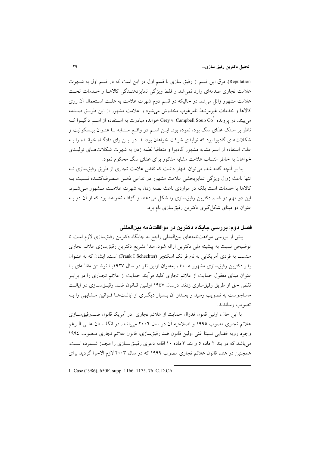Reputation). فرق این قسم از رقیق سازی با قسم اول در این است که در قسم اول به شـهرت علامت تجاری صدمهای وارد نمی شد و فقط ویژگی تمایزدهنـدگی کالاهـا و خـدمات تحـت علامت مشهور زائل می شد در حالیکه در قسم دوم شهرت علامت به علـت اسـتعمال آن روی كالاها و خدمات غيرمرتبط نامرغوب مخدوش مى شود و علامت مشهور از اين طريــق صــدمه می بیند. در یرونده `Grey v. Campbell Soup Co خوانده مبادرت به اسـتفاده از اســم داگیــوا کــه ناظر بر اسنک غذای سگ بود، نموده بود. ایــن اســم در واقــع مــشابه بــا عنــوان بیــسکوئیت و شکلاتهای گادیوا بود که تولیدی شرکت خواهان بودنـد. در ایــن رای دادگـاه خوانـده را بـه علت استفاده از اسم مشابه مشهور گادیوا و متعاقبا لطمه زدن به شهرت شکلاتهـای تولیـدی خواهان به خاطر انتساب علامت مشابه مذکور برای غذای سگ محکوم نمود.

بنا بر آنچه گفته شد، می توان اظهار داشت که نقض علامت تجاری از طریق رقیق سازی نــه تنها باعث زوال ويژگي تمايزبخشي علامت مشهور در تداعي ذهـن مـصرفکننـده نـسبت بـه کالاها یا خدمات است بلکه در مواردی باعث لطمه زدن به شهرت علامت مشهور میشود. این دو مهم دو قسم دکترین رقیقسازی را شکل میدهند و گزاف نخواهد بود که از آن دو بـه عنوان دو مبنای شکل گیری دکترین رقیقسازی نام برد.

#### فصل دوم: در رسي جادگاه دکتر بن در موافقتنامه بينالمللي

پیش از بررسی موافقتنامههای بینالمللی راجع به جایگاه دکترین رقیق سازی لازم است تا توضیحی نسبت به پیشینه ملی دکترین ارائه شود. مبدا تشریع دکترین رقیقسازی علائم تجاری منتسب به فردی آمریکایی به نام فرانک اسکتچر (Frank I Schechter) است. ایشان که به عنـوان پدر دکترین رقیق سازی مشهور هستند، به عنوان اولین نفر در سال ۱۹۲۷با نوشتن مقال)ای با عنوان مبنای معقول حمایت از علائم تجاری کلید فرآیند حمایت از علائم تجـاری را در برابـر نقض حق از طريق رقيق سازى زدند. درسال ١٩٤٧ اوليين قـانون ضـد رقيــقســازى در ايالـت ماساچوست به تصویب رسید و بعـداز آن بـسیار دیگـری از ایالــتهـا قـوانین مـشابهی را بـه تصويب رساندند.

با این حال، اولین قانون فدرال حمایت از علائم تجاری در اَمریکا قانون ضـدرقیق سـازی علائم تجاری مصوب ۱۹۹۵ و اصلاحیه اَن در سال ۲۰۰۲ میباشد. در انگلــستان علــی الــرغم وجود رويه قضايي نسبتا غني اولين قانون ضد رقيق سازي، قانون علائم تجاري مصوب ١٩٩٤ می باشد که در بند ۲ ماده ۵ و بند ۳ ماده ۱۰ اقامه دعوی رقیــق ســازی را مجـاز شــمرده اســت. همچنین در هند، قانون علائم تجاری مصوب ۱۹۹۹ که در سال ۲۰۰۳ لازم الاجرا گردید برای

1- Case (1986), 650F. supp. 1166. 1175. 76 .C. D.CA.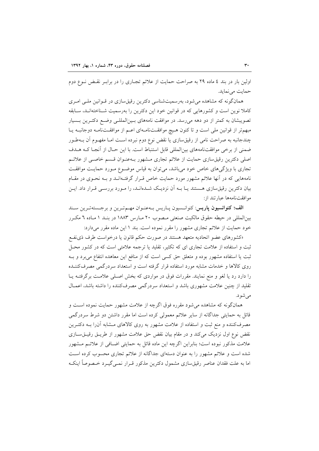اولین بار در بند ٤ ماده ٢٩ به صراحت حمایت از علائم تجـاری را در برابـر نقـض نـوع دوم حمات می نماید.

همانگونه که مشاهده می شود، بهرسمیتشناسی دکترین رقیق سازی در قـوانین ملـی امـری کاملا نوین است و کشورهایی که در قوانین خود این دکترین را بهرسمیت شـناختهانـد، سـابقه تصویبشان به کمتر از دو دهه می رسد. در موافقت نامههای بین المللهی وضع دکترین بسیار مبهم تر از قوانین ملی است و تا کنون هیچ موافقتنامهای اعـم از موافقـتنامـه دوجانبـه یـا چندجانبه به صراحت نامی از رقیقسازی یا نقض نوع دوم نبرده اسـت امـا مفهــوم آن بــهطــور ضمنی از برخی موافقتنامههای بینالمللی قابل استنباط است. با این حـال از آنجـا کـه هــدف اصلی دکترین رقیق سازی حمایت از علائم تجاری مشهور بـهعنـوان قـسم خاصـی از علائـم تجاری با ویژگیهای خاص خود میباشد، میتوان به قیاس موضـوع مـورد حمایـت موافقـت نامههایی که در آنها علائم مشهور مورد حمایت خاص قـرار گرفتـهانـد و بـه نحـوی در مقـام بیان دکترین رقیق سازی هستند یـا بــه آن نزدیـک شــدهانــد، را مــورد بررســی قــرار داد. ایــن موافقت نامهها عبارتند از:

الف؛ كنوانسيون ياريس: كنوانسيون يـاريس بـه عنـوان مهـمترين وبرجـستهترين سـند بین|لمللی در حیطه حقوق مالکیت صنعتی مـصوب ۲۰ مـارس ۱۸۸۳ در بنـد ۱ مـاده ٦ مکـرر خود حمایت از علائم تجاری مشهور را مقرر نموده است. بند ١ این ماده مقرر میدارد:

«کشورهای عضو اتحادیه متعهد هستند در صورت حکم قانون یا درخواست طرف ذی نفع ثبت و استفاده از علامت تجاری ای که تکثیر، تقلید یا ترجمه علامتی است که در کشور محـل ثبت یا استفاده مشهور بوده و متعلق حق کسی است که از منافع این معاهده انتفاع می برد و بـه روی کالاها و خدمات مشابه مورد استفاده قرار گرفته است و استعداد سردرگمی مصرفکننـده را دارد رد یا لغو و منع نمایند. مقررات فوق در مواردی که بخش اصـلی علامـت برگرفتـه یــا تقلید از چنین علامت مشهوری باشد و استعداد سردرگمی مصرفکننده را داشته باشد، اعمـال می شو د.

همانگونه که مشاهده میشود مقرره فوق اگرچه از علامت مشهور حمایت نموده است و قائل به حمایتی جداگانه از سایر علائم معمولی کرده است اما مقرر داشتن دو شرط سردرگمی مصرفکننده و منع ثبت و استفاده از علامت مشهور به روی کالاهای مــشابه آن(ا بــه دکتــرین نقض نوع اول نزدیک می کند و در مقام بیان نقض حق علامت مشهور از طریــق رقیــقســازی علامت مذکور نبوده است؛ بنابراین اگرچه این ماده قائل به حمایتی اضـافی از علائـم مـشهور شده است و علائم مشهور را به عنوان دستهای جداگانه از علائم تجاری محسوب کرده است اما به علت فقدان عناصر رقیق سازی مشمول دکترین مذکور قـرار نمـی گیـرد خـصوصاً اینکـه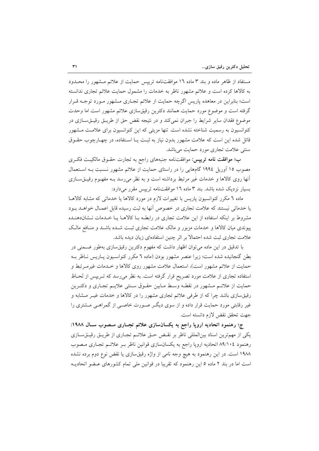مستفاد از ظاهر ماده و بند ۳ ماده ۱۲ موافقتنامه ترییس حمایت از علائم مشهور را محـدود به کالاها کرده است و علائم مشهور ناظر به خدمات را مشمول حمایت علائم تجاری ندانسته است؛ بنابراین در معاهده پاریس اگرچه حمایت از علائم تجـاری مـشهور مـورد توجـه قـرار گرفته است و موضوع مورد حمایت همانند دکترین رقیقسازی علائم مشهور است اما وحدت موضوع فقدان سایر شرایط را جبران نمی کند و در نتیجه نقض حق از طریــق رقیــقســازی در کنوانسیون به رسمیت شناخته نشده است. تنها مزیتی که این کنوانسیون برای علامت مشهور قائل شده این است که علامت مشهور بدون نیاز به ثبت یـا اسـتفاده، در چهـارچوب حقــوق سنتی علامت تجاری مورد حمایت میباشد.

ب؛ موافقت نامه تریپس: موافقتنامه جنبههای راجع به تجارت حقـوق مالکیـت فکـری مصوب ١٥ آوریل ١٩٩٤ گامهایی را در راستای حمایت از علائم مشهور نـسبت بـه اسـتعمال آنها روی کالاها و خدمات غیر مرتبط برداشته است و به نظر می رسد بـه مفهـوم رقیــقســازی بسیار نزدیک شده باشد. بند ۳ ماده ۱٦ موافقتنامه ترییس مقرر میدارد:

ماده ٦ مکرر کنوانسیون پاریس با تغییرات لازم در مورد کالاها یا خدماتی که مشابه کالاهـا یا خدماتی نیستند که علامت تجاری در خصوص آنها به ثبت رسیده قابل اعمـال خواهــد بــود مشروط بر اینکه استفاده از این علامت تجاری در رابطـه بـا کالاهـا یـا خـدمات نـشاندهنـده پیوندی میان کالاها و خدمات مزبور و مالک علامت تجاری ثبت شـده باشـد و منـافع مالـک علامت تجاری ثبت شده احتمالا بر اثر چنین استفادهای زیان دیده باشد.

با تدقیق در این ماده میتوان اظهار داشت که مفهوم دکترین رقیقسازی بهطور ضمنی در بطن گنجانیده شده است؛ زیرا عنصر مشهور بودن (ماده ٦ مکرر کنواسـیون پـاریس نـاظر بـه حمایت از علائم مشهور است)، استعمال علامت مشهور روی کالاها و خـدمات غیرمـرتبط و استفاده تجاری از علامت مورد تصریح قرار گرفته است. به نظر می رسد که تـریپس از لحـاظ حمايت از علائـم مـشهور در نقطـه وسـط مـابين حقـوق سـنتي علايـم تجـاري و دكتـرين رقیق سازی باشد چرا که از طرفی علائم تجاری مشهور را در کالاها و خدمات غیـر مـشابه و غیر رقابتی مورد حمایت قرار داده و از سوی دیگر صورت خاصبی از گمراهبی مشتری را جهت تحقق نقض لازم دانسته است.

ج؛ رهنمود اتحادیه اروپا راجع به یکسانسازی علائم تجـاری مـصوب سـال ۱۹۸۸: یکی از مهمترین اسناد بینالمللی ناظر بر نقـض حـق علائـم تجـاری از طریـق رقیـقسـازی رهنمود ٨٩/١٠٤ اتحاديه اروپا راجع به يكسانسازي قوانين ناظر بـر علائـم تجـاري مـصوب ۱۹۸۸ است. در این رهنمود به هیچ وجه نامی از واژه رقیقسازی یا نقض نوع دوم برده نشده است اما در بند ۲ ماده ۵ این رهنمود که تقریبا در قوانین ملی تمام کشورهای عـضو اتحادیــه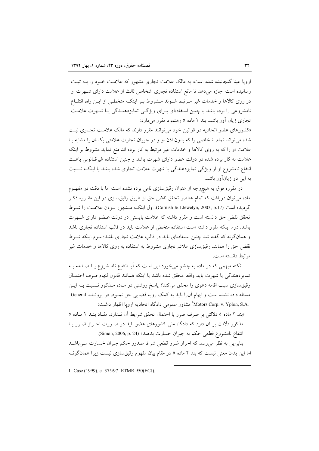اروپا عینا گنجانیده شده است، به مالک علامت تجاری مشهور که علامت خـود را بــه ثبـت رسانیده است اجازه می دهد تا مانع استفاده تجاری اشخاص ثالث از علامت دارای شـهرت او در روی کالاها و خدمات غیر مـرتبط شـوند مـشروط بـر اینکـه متخطـی از ایـن راه، انتفـاع نامشروعی را برده باشد یا چنین استفادهای بـرای ویژگـی تمایزدهنـدگی یـا شـهرت علامـت تجاری زیان آور باشد. بند ۲ ماده ۵ رهنمود مقرر می دارد:

«کشورهای عضو اتحادیه در قوانین خود می توانند مقرر دارند که مالک علامت تجاری ثبت شده می تواند تمام اشخاصی را که بدون اذن او و در جریان تجارت علامتی یکسان یا مشابه بـا علامت او را که به روی کالاها و خدمات غیر مرتبط به کار برده اند منع نماید مشروط بر اینکه علامت به کار برده شده در دولت عضو دارای شهرت باشد و چنین استفاده غیرقانونی باعث انتفاع نامشروع او از ویژگی تمایزدهندگی یا شهرت علامت تجاری شده باشد یا اینکه نسبت به این دو زیانآور باشد.

در مقرره فوق به هیچوجه از عنوان رقیقسازی نامی برده نشده است اما با دقت در مفهــوم ماده میتوان دریافت که تمام عناصر تحقق نقض حق از طریق رقیقسازی در این مقــرره ذکــر گردیده است (Cornish & Llewelyn, 2003, p.17). اول اینکـه مـشهور بـودن علامـت را شـرط تحقق نقض حق دانسته است و مقرر داشته که علامت بایستی در دولت عـضو دارای شــهرت باشد. دوم اینکه مقرر داشته است استفاده متخطی از علامت باید در قالب استفاده تجاری باشد و همانگونه که گفته شد چنین استفادهای باید در قالب علامت تجاری باشد؛ سوم اینکه شـرط نقض حق را همانند رقیق سازی علائم تجاری مشروط به استفاده به روی کالاها و خدمات غیر م تبط دانسته است.

نکته مبهمی که در ماده به چشم میخورد این است که آیا انتفاع نامـشروع یـا صـدمه بـه تمايزدهندگي يا شهرت بايد واقعا محقق شده باشد يا اينكه همانند قانون لنهام صرف احتمـال رقیقسازی سبب اقامه دعوی را محقق میکند؟ پاسخ روشنی در مـاده مـذکور نـسبت بــه ایــن مسئله داده نشده است و ابهام آن را باید به کمک رویه قضایی حل نمـود. در پرونـده General Motors Corp. v. Yplon, S.A. مشاور عمومی دادگاه اتحادیه اروپا اظهار داشت:

«بند ۲ ماده ۵ دلالتی بر صرف ضرر یا احتمال تحقق شرایط آن نیدارد. مفیاد بنید ۲ میاده ۵ مذکور دلالت بر آن دارد که دادگاه ملی کشورهای عضو باید در صـورت احـراز ضـرر یـا انتفاع نامشروع قطعي حكم به جبران خسارت بدهند» (Simon, 2006, p. 24).

بنابراین به نظر میرسد که احراز ضرر قطعی شرط صدور حکم جبران خسارت مـیباشــد اما این بدان معنی نیست که بند ۲ ماده ۵ در مقام بیان مفهوم رقیقسازی نیست زیرا همانگونـه

1- Case (1999), c- 375/97- ETMR 950(ECJ).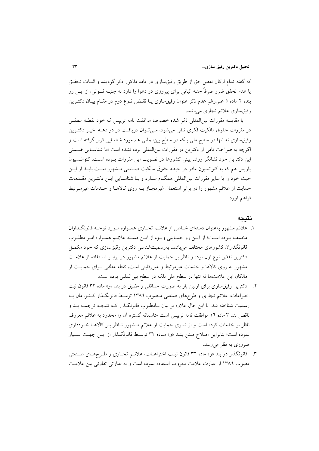که گفته تمام ارکان نقض حق از طریق رقیق سازی در ماده مذکور ذکر گردیده و اثبــات تحقــق یا عدم تحقق ضرر صرفاً جنبه اثباتی برای پیروزی در دعوا را دارد نه جنبـه ثبـوتی، از ایــن رو بنده ۲ ماده ۵ علی رغم عدم ذکر عنوان رقیقسازی یـا نقـض نــوع دوم در مقـام بیــان دکتــرین رقيق سازي علائم تجاري مي باشد.

با مقايسه مقررات بين|لمللي ذكر شده خصوصا موافقت نامه ترييس كه خود نقطـه عطفـي در مقررات حقوق مالکیت فکری تلقی میشود، مـیتوان دریافـت در دو دهـه اخیـر دکتـرین رقیق سازی نه تنها در سطح ملی بلکه در سطح بینالمللی هم مورد شناسایی قرار گرفته است و اگرچه به صراحت نامی از دکترین در مقررات بینالمللی برده نشده است اما شناسـایی ضـمنی این دکترین خود نشانگر روشن بینی کشورها در تصویب این مقررات بـوده اسـت. کنوانـسیون پاریس هم که به کنوانسیون مادر در حیطه حقوق مالکیت صـنعتی مـشهور اسـت بایــد از ایــن حیث خود را با سایر مقررات بین|لمللی همگــام ســازد و بــا شناســایی ایــن دکتــرین مقــدمات حمایت از علائم مشهور را در برابر استعمال غیرمجـاز بـه روی کالاهـا و خـدمات غیرمـرتبط فراهم آورد.

#### نتىجە

- ۱. علائم مشهور بهعنوان دستهای خـاص از علائـم تجـاری همـواره مـورد توجـه قانونگـذاران مختلف بـوده اسـت؛ از ايـن رو حمـايتي ويـژه از ايـن دسـته علائـم همـواره امـر مطلـوب قانونگذاران کشورهای مختلف میباشد. بهرسمیتشناسی دکترین رقیقسازی که خود مکمـل دکترین نقض نوع اول بوده و ناظر بر حمایت از علائم مشهور در برابـر اسـتفاده از علامـت مشهور به روی کالاها و خدمات غیرمرتبط و غیررقابتی است، نقطه عطفی بـرای حمایـت از مالکان این علامتها نه تنها در سطح ملی بلکه در سطح بین المللی بوده است.
- ۲. دکترین رقیق سازی برای اولین بار به صورت حداقلی و مضیق در بند «و» ماده ۳۲ قانون ثبت اختراعات، علائم تجاری و طرحهای صنعتی مـصوب ١٣٨٦ توسـط قانونگـذار کـشورمان بـه رسمیت شناخته شد. با این حال علاوه بر بیان نـامطلوب قانونگـذار کـه نتیجـه ترجمـه بــد و ناقص بند ۳ ماده ۱۲ موافقت نامه تریپس است متاسفانه گستره آن را محدود به علائم معروف ناظر بر خدمات کرده است و از تسری حمایت از علائم مـشهور نــاظر بــر کالاهــا خــودداری نموده است؛ بنابراین اصلاح مـتن بنـد «و» مـاده ٣٢ توسـط قانونگـذار از ایـن جهـت بـسیار ضروري به نظر مي رسد.
- ۳. قانونگذار در بند «و» ماده ۳۲ قانون ثبت اختراعـات، علائـم تجـاري و طـرحهـاي صـنعتي مصوب ١٣٨٦ از عبارت علامت معروف استفاده نموده است و به عبارتی تفاوتی بین علامت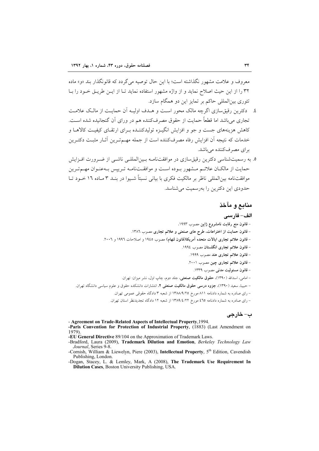معروف و علامت مشهور نگذاشته است؛ با این حال توصیه می گردد که قانونگذار بند «و» ماده ۳۲ را از این حیث اصلاح نماید و از واژه مشهور استفاده نماید تبا از این طریق خیود را یبا تئوري بين|لمللي حاكم بر تمايز اين دو همگام سازد.

- ٤. دكترين رقيق سازي اگرچه مالك محور است و هــدف اوليـه أن حمايـت از مالـك علامـت تجاري مي باشد اما قطعاً حمايت از حقوق مصرف كننده هم در وراي آن گنجانيده شده است. کاهش هزینههای جست و جو و افزایش انگیـزه تولیدکننـده بـرای ارتقـای کیفیـت کالاهـا و خدمات که نتیجه اَن افزایش رفاه مصرفکننده است از جمله مهــمتـرین اَثــار مثبــت دکتــرین برای مصرفکننده میباشد.
- ۵. به رسمیتشناسی دکترین رقیقسازی در موافقتنامـه بـینالمللـی ناشـی از ضـرورت افـزایش حمایت از مالکـان علائــم مــشهور بــوده اســت و موافقــتـنامــه تــرییس بــهعنــوان مهــمتــرین موافقتنامه بین(لمللی ناظر بر مالکیت فکری با بیانی نسبتاً شـبوا در بنـد ۳ مـاده ۱۲ خـود تـا حدودی این دکترین را بهرسمیت می شناسد.

## منابع و مآخذ

#### الف- فارسى

– قانون منع رقابت نامشروع ژاپن مصوب ۱۹۹۳. - قانون حمایت از اختراعات، طرح های صنعتی و علائم تجاری مصوب ١٣٨٦. - قانون علائم تجاري ايالات متحده آمريكا(قانون لنهام) مصوب ١٩٤٥ و اصلاحات ١٩٩٦ و ٢٠٠٦. – قانون علائم تجارى انگلستان مصوب ١٩٩٤. – قانون علائم تجاری هند مصوب ۱۹۹۹. - قانون علائم تجاري چين مصوب ٢٠٠١. – قانون مسئولیت مدن<sub>ی</sub> مصوب ۱۳۳۹. – امامي، اسدالله (١٣٩٠)، حقوق مالكيت صنعتي، جلد دوم، چاپ اول، نشر ميزان: تهران. – حبیبا، سعید (۱۳۹۰)، جزوه درسی حقوق مالکیت صنعتی ۲، انتشارات دانشکده حقوق و علوم سیاسی دانشگاه تهران. – رای صادره به شماره دادنامه ۸۱۱ مورخ ۱۳۸۸/۹/۲۵ از شعبه ۳ دادگاه حقوقی عمومی تهران.

– رای صادره به شماره دادنامه ٤٦٥ مورخ ١٣٨٩/٤/٢٢ از شعبه ١٢ دادگاه تجدیدنظر استان تهران.

### ب- خارجي

<sup>-</sup> Agreement on Trade-Related Aspects of Intellectual Property, 1994. -Paris Convention for Protection of Industrial Property, (1883) (Last Amendment on 1979).

<sup>-</sup>EU General Directive 89/104 on the Approximation of Trademark Laws.

<sup>-</sup>Bradford, Laura (2009), Trademark Dilution and Emotion, Berkeley Technology Law Journal, Series 9-8.

<sup>-</sup>Cornish, William & Liewelyn, Piere (2003), Intellectual Property, 5<sup>th</sup> Edition, Cavendish Publishing, London.

<sup>-</sup>Dogan, Stacey, L. & Lemley, Mark, A (2008), The Trademark Use Requirement In Dilution Cases, Boston University Publishing, USA.